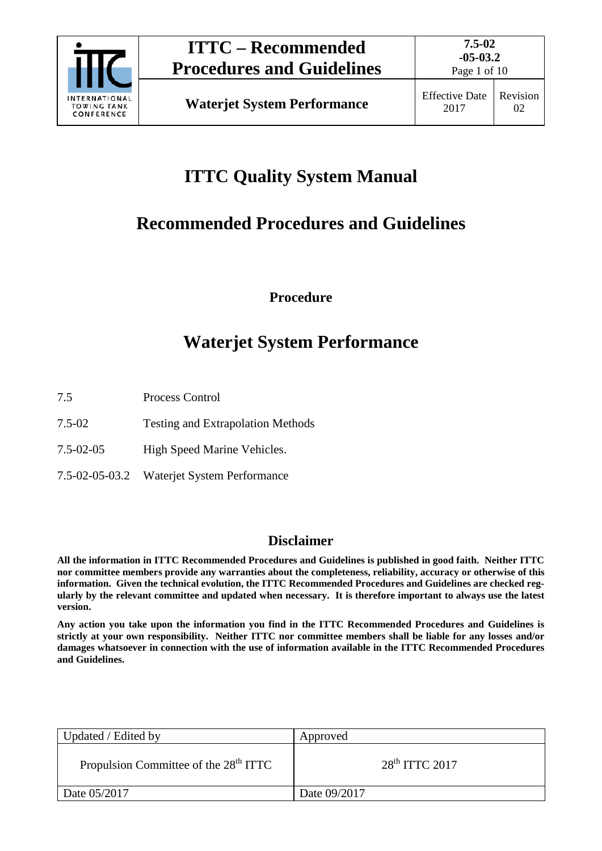

Page 1 of 10

# **ITTC Quality System Manual**

# **Recommended Procedures and Guidelines**

**Procedure**

# **Waterjet System Performance**

- 7.5 Process Control
- 7.5-02 Testing and Extrapolation Methods
- 7.5-02-05 High Speed Marine Vehicles.
- 7.5-02-05-03.2 Waterjet System Performance

# **Disclaimer**

**All the information in ITTC Recommended Procedures and Guidelines is published in good faith. Neither ITTC nor committee members provide any warranties about the completeness, reliability, accuracy or otherwise of this information. Given the technical evolution, the ITTC Recommended Procedures and Guidelines are checked regularly by the relevant committee and updated when necessary. It is therefore important to always use the latest version.**

**Any action you take upon the information you find in the ITTC Recommended Procedures and Guidelines is strictly at your own responsibility. Neither ITTC nor committee members shall be liable for any losses and/or damages whatsoever in connection with the use of information available in the ITTC Recommended Procedures and Guidelines.**

| Updated / Edited by                               | Approved           |
|---------------------------------------------------|--------------------|
| Propulsion Committee of the 28 <sup>th</sup> ITTC | $28th$ ITTC $2017$ |
| Date 05/2017                                      | Date 09/2017       |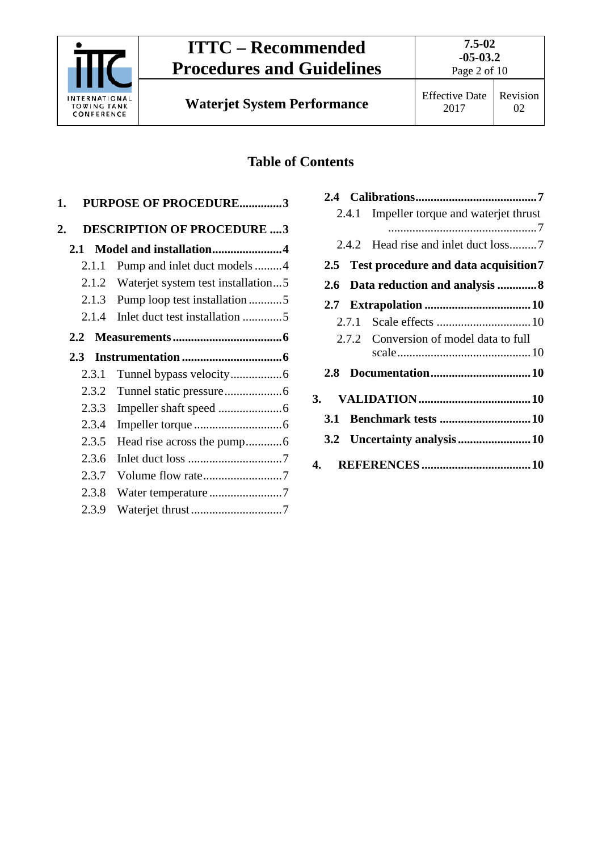

# **ITTC – Recommended Procedures and Guidelines**

**Waterjet System Performance** Effective Date

# **Table of Contents**

| 1.                             |       | <b>PURPOSE OF PROCEDURE3</b>       |  |
|--------------------------------|-------|------------------------------------|--|
| 2.                             |       | <b>DESCRIPTION OF PROCEDURE 3</b>  |  |
| Model and installation4<br>2.1 |       |                                    |  |
|                                | 2.1.1 | Pump and inlet duct models 4       |  |
|                                | 2.1.2 | Waterjet system test installation5 |  |
|                                | 2.1.3 | Pump loop test installation5       |  |
|                                | 2.1.4 | Inlet duct test installation 5     |  |
| $2.2^{\circ}$                  |       |                                    |  |
|                                | 2.3   |                                    |  |
|                                | 2.3.1 |                                    |  |
|                                | 2.3.2 |                                    |  |
|                                | 2.3.3 |                                    |  |
|                                | 2.3.4 |                                    |  |
|                                | 2.3.5 |                                    |  |
|                                | 2.3.6 |                                    |  |
|                                | 2.3.7 | Volume flow rate7                  |  |
|                                | 2.3.8 | Water temperature 7                |  |
|                                | 2.3.9 |                                    |  |
|                                |       |                                    |  |

|     | 2.4.1 | Impeller torque and waterjet thrust       |  |
|-----|-------|-------------------------------------------|--|
|     |       |                                           |  |
|     |       |                                           |  |
|     |       | 2.5 Test procedure and data acquisition 7 |  |
|     |       | 2.6 Data reduction and analysis 8         |  |
|     |       |                                           |  |
|     |       |                                           |  |
|     |       | 2.7.2 Conversion of model data to full    |  |
|     |       |                                           |  |
| 2.8 |       |                                           |  |
|     |       |                                           |  |
| 3.1 |       |                                           |  |
|     |       |                                           |  |
|     |       |                                           |  |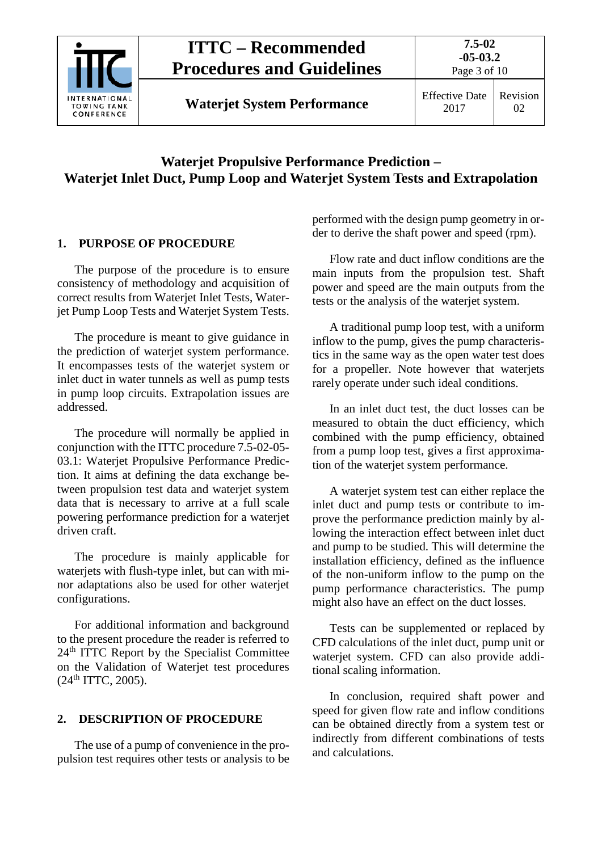

**Waterjet System Performance** Effective Date

# **Waterjet Propulsive Performance Prediction – Waterjet Inlet Duct, Pump Loop and Waterjet System Tests and Extrapolation**

# <span id="page-2-0"></span>**1. PURPOSE OF PROCEDURE**

The purpose of the procedure is to ensure consistency of methodology and acquisition of correct results from Waterjet Inlet Tests, Waterjet Pump Loop Tests and Waterjet System Tests.

The procedure is meant to give guidance in the prediction of waterjet system performance. It encompasses tests of the waterjet system or inlet duct in water tunnels as well as pump tests in pump loop circuits. Extrapolation issues are addressed.

The procedure will normally be applied in conjunction with the ITTC procedure 7.5-02-05- 03.1: Waterjet Propulsive Performance Prediction. It aims at defining the data exchange between propulsion test data and waterjet system data that is necessary to arrive at a full scale powering performance prediction for a waterjet driven craft.

The procedure is mainly applicable for waterjets with flush-type inlet, but can with minor adaptations also be used for other waterjet configurations.

For additional information and background to the present procedure the reader is referred to 24<sup>th</sup> ITTC Report by the Specialist Committee on the Validation of Waterjet test procedures  $(24<sup>th</sup> ITTC, 2005).$ 

# <span id="page-2-1"></span>**2. DESCRIPTION OF PROCEDURE**

The use of a pump of convenience in the propulsion test requires other tests or analysis to be performed with the design pump geometry in order to derive the shaft power and speed (rpm).

Flow rate and duct inflow conditions are the main inputs from the propulsion test. Shaft power and speed are the main outputs from the tests or the analysis of the waterjet system.

A traditional pump loop test, with a uniform inflow to the pump, gives the pump characteristics in the same way as the open water test does for a propeller. Note however that waterjets rarely operate under such ideal conditions.

In an inlet duct test, the duct losses can be measured to obtain the duct efficiency, which combined with the pump efficiency, obtained from a pump loop test, gives a first approximation of the waterjet system performance.

A waterjet system test can either replace the inlet duct and pump tests or contribute to improve the performance prediction mainly by allowing the interaction effect between inlet duct and pump to be studied. This will determine the installation efficiency, defined as the influence of the non-uniform inflow to the pump on the pump performance characteristics. The pump might also have an effect on the duct losses.

Tests can be supplemented or replaced by CFD calculations of the inlet duct, pump unit or waterjet system. CFD can also provide additional scaling information.

In conclusion, required shaft power and speed for given flow rate and inflow conditions can be obtained directly from a system test or indirectly from different combinations of tests and calculations.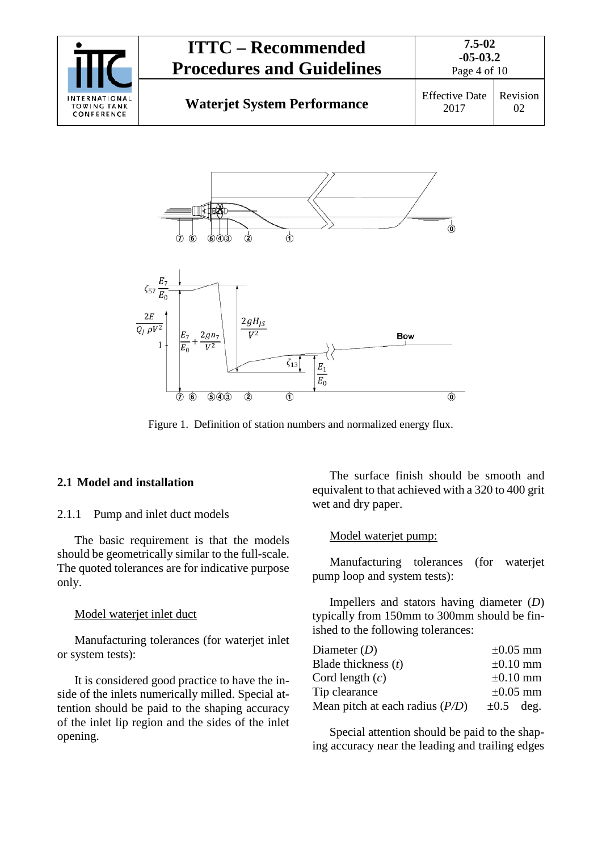|                                                   | <b>ITTC – Recommended</b><br><b>Procedures and Guidelines</b> | 7.5-02<br>$-05-03.2$<br>Page 4 of 10 |                |
|---------------------------------------------------|---------------------------------------------------------------|--------------------------------------|----------------|
| INTERNATIONAL<br><b>TOWING TANK</b><br>CONFERENCE | <b>Waterjet System Performance</b>                            | <b>Effective Date</b><br>2017        | Revision<br>02 |



Figure 1. Definition of station numbers and normalized energy flux.

#### <span id="page-3-1"></span><span id="page-3-0"></span>**2.1 Model and installation**

#### 2.1.1 Pump and inlet duct models

The basic requirement is that the models should be geometrically similar to the full-scale. The quoted tolerances are for indicative purpose only.

#### Model waterjet inlet duct

Manufacturing tolerances (for waterjet inlet or system tests):

It is considered good practice to have the inside of the inlets numerically milled. Special attention should be paid to the shaping accuracy of the inlet lip region and the sides of the inlet opening.

The surface finish should be smooth and equivalent to that achieved with a 320 to 400 grit wet and dry paper.

#### Model waterjet pump:

Manufacturing tolerances (for waterjet pump loop and system tests):

Impellers and stators having diameter (*D*) typically from 150mm to 300mm should be finished to the following tolerances:

| Diameter $(D)$                    | $\pm 0.05$ mm  |
|-----------------------------------|----------------|
| Blade thickness $(t)$             | $\pm 0.10$ mm  |
| Cord length $(c)$                 | $\pm 0.10$ mm  |
| Tip clearance                     | $\pm 0.05$ mm  |
| Mean pitch at each radius $(P/D)$ | $\pm 0.5$ deg. |

Special attention should be paid to the shaping accuracy near the leading and trailing edges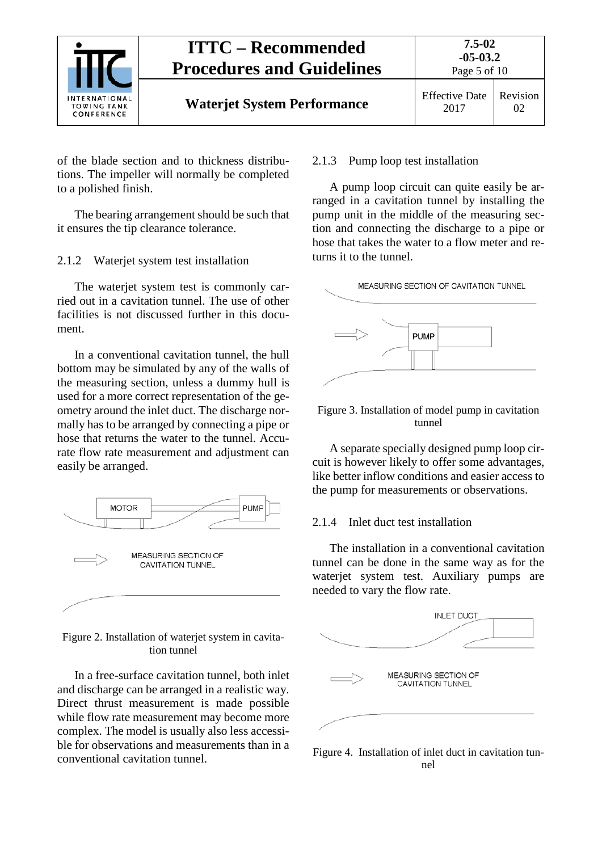

of the blade section and to thickness distributions. The impeller will normally be completed to a polished finish.

The bearing arrangement should be such that it ensures the tip clearance tolerance.

<span id="page-4-0"></span>2.1.2 Waterjet system test installation

The waterjet system test is commonly carried out in a cavitation tunnel. The use of other facilities is not discussed further in this document.

In a conventional cavitation tunnel, the hull bottom may be simulated by any of the walls of the measuring section, unless a dummy hull is used for a more correct representation of the geometry around the inlet duct. The discharge normally has to be arranged by connecting a pipe or hose that returns the water to the tunnel. Accurate flow rate measurement and adjustment can easily be arranged.



Figure 2. Installation of waterjet system in cavitation tunnel

In a free-surface cavitation tunnel, both inlet and discharge can be arranged in a realistic way. Direct thrust measurement is made possible while flow rate measurement may become more complex. The model is usually also less accessible for observations and measurements than in a conventional cavitation tunnel.

#### <span id="page-4-1"></span>2.1.3 Pump loop test installation

A pump loop circuit can quite easily be arranged in a cavitation tunnel by installing the pump unit in the middle of the measuring section and connecting the discharge to a pipe or hose that takes the water to a flow meter and returns it to the tunnel.



#### Figure 3. Installation of model pump in cavitation tunnel

A separate specially designed pump loop circuit is however likely to offer some advantages, like better inflow conditions and easier access to the pump for measurements or observations.

#### <span id="page-4-2"></span>2.1.4 Inlet duct test installation

The installation in a conventional cavitation tunnel can be done in the same way as for the waterjet system test. Auxiliary pumps are needed to vary the flow rate.



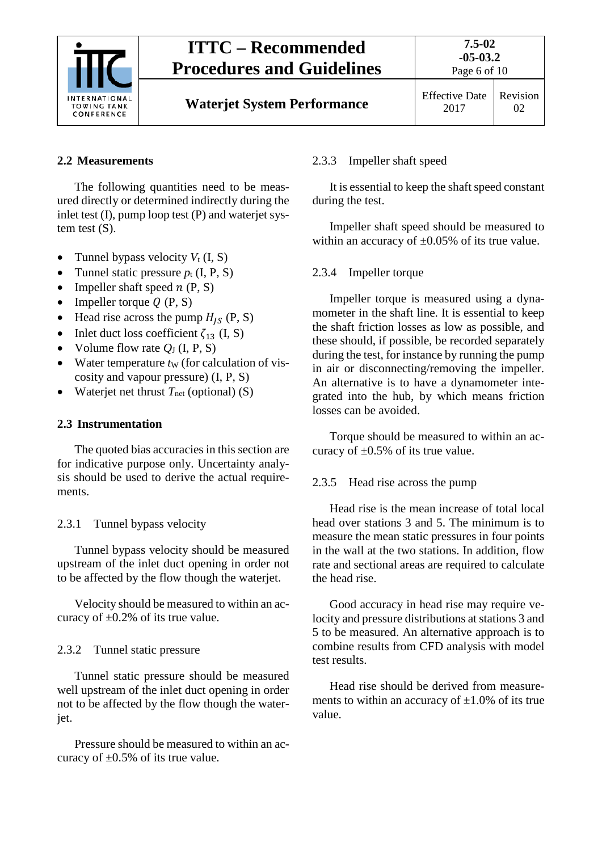

# **ITTC – Recommended Procedures and Guidelines**

# <span id="page-5-0"></span>**2.2 Measurements**

The following quantities need to be measured directly or determined indirectly during the inlet test (I), pump loop test (P) and waterjet system test (S).

- Tunnel bypass velocity  $V_t$  (I, S)
- Tunnel static pressure  $p_t$  (I, P, S)
- Impeller shaft speed  $n(P, S)$
- Impeller torque  $Q(P, S)$
- Head rise across the pump  $H_{IS}$  (P, S)
- Inlet duct loss coefficient  $\zeta_{13}$  (I, S)
- Volume flow rate  $Q_J$  (I, P, S)
- Water temperature  $t_{W}$  (for calculation of viscosity and vapour pressure) (I, P, S)
- Waterjet net thrust  $T_{net}$  (optional) (S)

#### <span id="page-5-1"></span>**2.3 Instrumentation**

The quoted bias accuracies in this section are for indicative purpose only. Uncertainty analysis should be used to derive the actual requirements.

## <span id="page-5-2"></span>2.3.1 Tunnel bypass velocity

Tunnel bypass velocity should be measured upstream of the inlet duct opening in order not to be affected by the flow though the waterjet.

Velocity should be measured to within an accuracy of  $\pm 0.2$ % of its true value.

## <span id="page-5-3"></span>2.3.2 Tunnel static pressure

Tunnel static pressure should be measured well upstream of the inlet duct opening in order not to be affected by the flow though the waterjet.

Pressure should be measured to within an accuracy of  $\pm 0.5\%$  of its true value.

#### <span id="page-5-4"></span>2.3.3 Impeller shaft speed

It is essential to keep the shaft speed constant during the test.

Impeller shaft speed should be measured to within an accuracy of  $\pm 0.05\%$  of its true value.

#### <span id="page-5-5"></span>2.3.4 Impeller torque

Impeller torque is measured using a dynamometer in the shaft line. It is essential to keep the shaft friction losses as low as possible, and these should, if possible, be recorded separately during the test, for instance by running the pump in air or disconnecting/removing the impeller. An alternative is to have a dynamometer integrated into the hub, by which means friction losses can be avoided.

Torque should be measured to within an accuracy of  $\pm 0.5\%$  of its true value.

#### <span id="page-5-6"></span>2.3.5 Head rise across the pump

Head rise is the mean increase of total local head over stations 3 and 5. The minimum is to measure the mean static pressures in four points in the wall at the two stations. In addition, flow rate and sectional areas are required to calculate the head rise.

Good accuracy in head rise may require velocity and pressure distributions at stations 3 and 5 to be measured. An alternative approach is to combine results from CFD analysis with model test results.

Head rise should be derived from measurements to within an accuracy of  $\pm 1.0\%$  of its true value.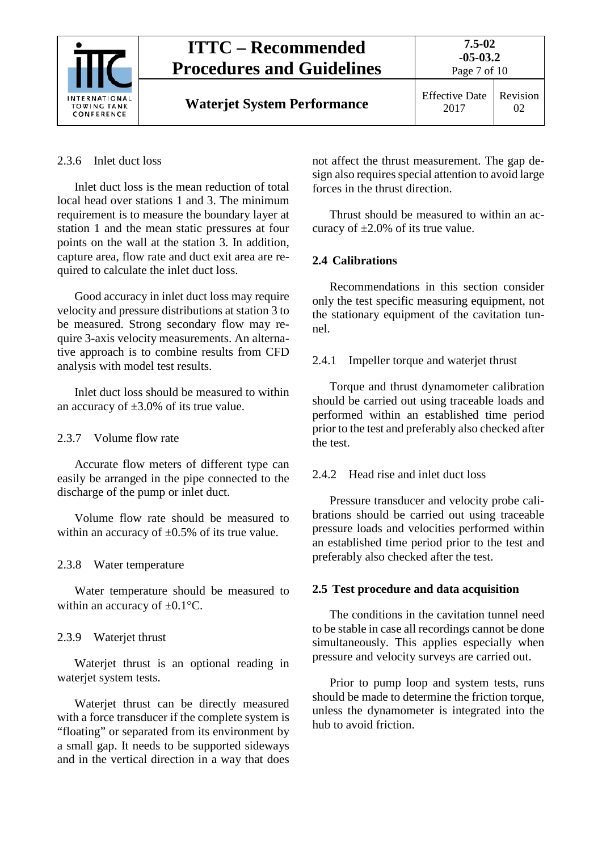

#### <span id="page-6-0"></span>2.3.6 Inlet duct loss

Inlet duct loss is the mean reduction of total local head over stations 1 and 3. The minimum requirement is to measure the boundary layer at station 1 and the mean static pressures at four points on the wall at the station 3. In addition, capture area, flow rate and duct exit area are required to calculate the inlet duct loss.

Good accuracy in inlet duct loss may require velocity and pressure distributions at station 3 to be measured. Strong secondary flow may require 3-axis velocity measurements. An alternative approach is to combine results from CFD analysis with model test results.

Inlet duct loss should be measured to within an accuracy of  $\pm 3.0\%$  of its true value.

#### <span id="page-6-1"></span>2.3.7 Volume flow rate

Accurate flow meters of different type can easily be arranged in the pipe connected to the discharge of the pump or inlet duct.

Volume flow rate should be measured to within an accuracy of  $\pm 0.5\%$  of its true value.

#### <span id="page-6-2"></span>2.3.8 Water temperature

Water temperature should be measured to within an accuracy of  $\pm 0.1$ °C.

#### <span id="page-6-3"></span>2.3.9 Waterjet thrust

Waterjet thrust is an optional reading in waterjet system tests.

Waterjet thrust can be directly measured with a force transducer if the complete system is "floating" or separated from its environment by a small gap. It needs to be supported sideways and in the vertical direction in a way that does

not affect the thrust measurement. The gap design also requires special attention to avoid large forces in the thrust direction.

Thrust should be measured to within an accuracy of  $\pm 2.0\%$  of its true value.

#### <span id="page-6-4"></span>**2.4 Calibrations**

Recommendations in this section consider only the test specific measuring equipment, not the stationary equipment of the cavitation tunnel.

#### <span id="page-6-5"></span>2.4.1 Impeller torque and waterjet thrust

Torque and thrust dynamometer calibration should be carried out using traceable loads and performed within an established time period prior to the test and preferably also checked after the test.

## <span id="page-6-6"></span>2.4.2 Head rise and inlet duct loss

Pressure transducer and velocity probe calibrations should be carried out using traceable pressure loads and velocities performed within an established time period prior to the test and preferably also checked after the test.

## <span id="page-6-7"></span>**2.5 Test procedure and data acquisition**

The conditions in the cavitation tunnel need to be stable in case all recordings cannot be done simultaneously. This applies especially when pressure and velocity surveys are carried out.

Prior to pump loop and system tests, runs should be made to determine the friction torque, unless the dynamometer is integrated into the hub to avoid friction.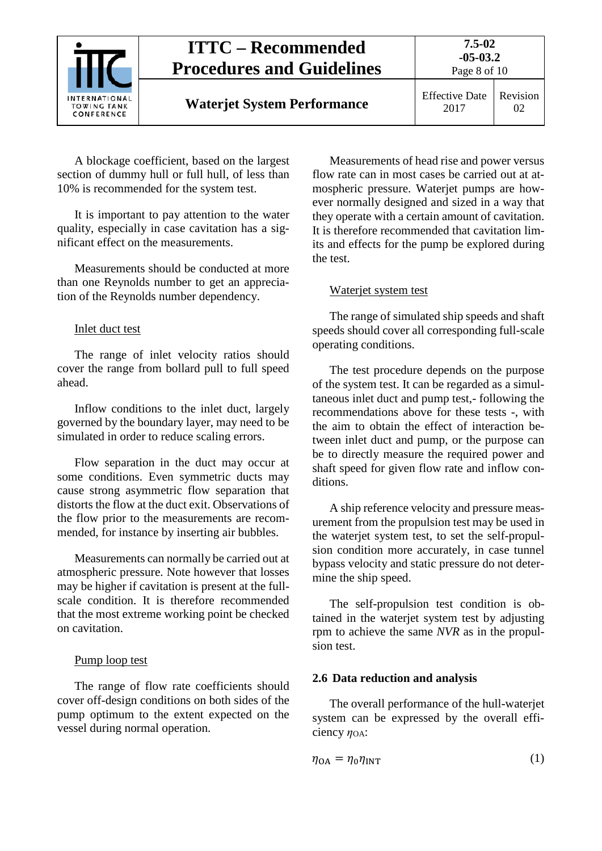

# **ITTC – Recommended Procedures and Guidelines**

2017 Revision  $02<sub>z</sub>$ 

A blockage coefficient, based on the largest section of dummy hull or full hull, of less than 10% is recommended for the system test.

It is important to pay attention to the water quality, especially in case cavitation has a significant effect on the measurements.

Measurements should be conducted at more than one Reynolds number to get an appreciation of the Reynolds number dependency.

## Inlet duct test

The range of inlet velocity ratios should cover the range from bollard pull to full speed ahead.

Inflow conditions to the inlet duct, largely governed by the boundary layer, may need to be simulated in order to reduce scaling errors.

Flow separation in the duct may occur at some conditions. Even symmetric ducts may cause strong asymmetric flow separation that distorts the flow at the duct exit. Observations of the flow prior to the measurements are recommended, for instance by inserting air bubbles.

Measurements can normally be carried out at atmospheric pressure. Note however that losses may be higher if cavitation is present at the fullscale condition. It is therefore recommended that the most extreme working point be checked on cavitation.

## Pump loop test

The range of flow rate coefficients should cover off-design conditions on both sides of the pump optimum to the extent expected on the vessel during normal operation.

Measurements of head rise and power versus flow rate can in most cases be carried out at atmospheric pressure. Waterjet pumps are however normally designed and sized in a way that they operate with a certain amount of cavitation. It is therefore recommended that cavitation limits and effects for the pump be explored during the test.

## Waterjet system test

The range of simulated ship speeds and shaft speeds should cover all corresponding full-scale operating conditions.

The test procedure depends on the purpose of the system test. It can be regarded as a simultaneous inlet duct and pump test,- following the recommendations above for these tests -, with the aim to obtain the effect of interaction between inlet duct and pump, or the purpose can be to directly measure the required power and shaft speed for given flow rate and inflow conditions.

A ship reference velocity and pressure measurement from the propulsion test may be used in the waterjet system test, to set the self-propulsion condition more accurately, in case tunnel bypass velocity and static pressure do not determine the ship speed.

The self-propulsion test condition is obtained in the waterjet system test by adjusting rpm to achieve the same *NVR* as in the propulsion test.

## <span id="page-7-0"></span>**2.6 Data reduction and analysis**

The overall performance of the hull-waterjet system can be expressed by the overall efficiency  $η<sub>OA</sub>$ :

$$
\eta_{\text{OA}} = \eta_0 \eta_{\text{INT}} \tag{1}
$$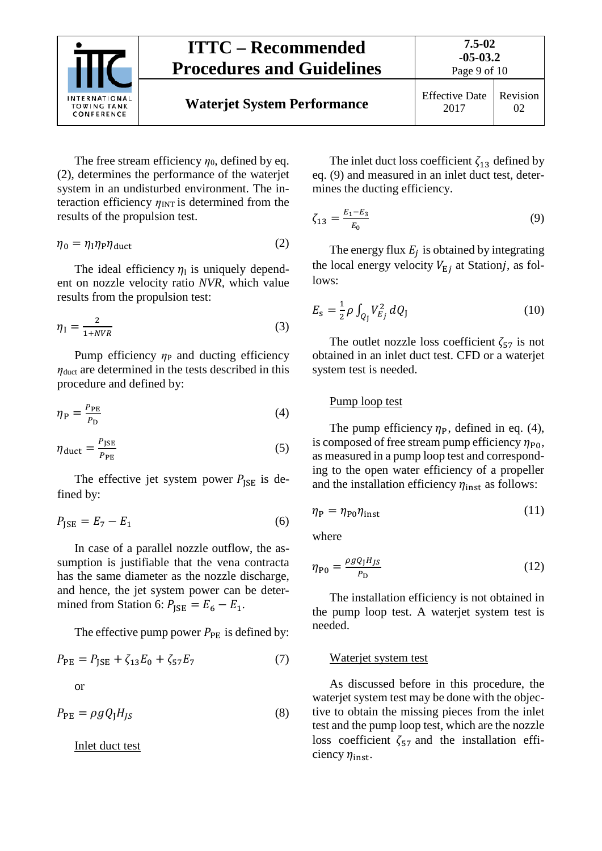

The free stream efficiency  $\eta_0$ , defined by eq. (2), determines the performance of the waterjet system in an undisturbed environment. The interaction efficiency  $\eta_{\text{INT}}$  is determined from the results of the propulsion test.

$$
\eta_0 = \eta_1 \eta_P \eta_{\text{duct}} \tag{2}
$$

The ideal efficiency  $\eta_1$  is uniquely dependent on nozzle velocity ratio *NVR,* which value results from the propulsion test:

$$
\eta_{\rm I} = \frac{2}{1 + NVR} \tag{3}
$$

Pump efficiency *η*P and ducting efficiency *η*<sub>duct</sub> are determined in the tests described in this procedure and defined by:

$$
\eta_{\rm P} = \frac{P_{\rm PE}}{P_{\rm D}}\tag{4}
$$

$$
\eta_{\text{duct}} = \frac{P_{\text{JSE}}}{P_{\text{PE}}} \tag{5}
$$

The effective jet system power  $P_{\text{ISE}}$  is defined by:

$$
P_{\text{JSE}} = E_7 - E_1 \tag{6}
$$

In case of a parallel nozzle outflow, the assumption is justifiable that the vena contracta has the same diameter as the nozzle discharge, and hence, the jet system power can be determined from Station 6:  $P_{\text{ISE}} = E_6 - E_1$ .

The effective pump power  $P_{PE}$  is defined by:

$$
P_{\rm PE} = P_{\rm JSE} + \zeta_{13} E_0 + \zeta_{57} E_7 \tag{7}
$$
 or

$$
P_{\rm PE} = \rho g Q_{\rm J} H_{JS} \tag{8}
$$

Inlet duct test

The inlet duct loss coefficient  $\zeta_{13}$  defined by eq. (9) and measured in an inlet duct test, determines the ducting efficiency.

$$
\zeta_{13} = \frac{E_1 - E_3}{E_0} \tag{9}
$$

The energy flux  $E_i$  is obtained by integrating the local energy velocity  $V_{Ej}$  at Stationj, as follows:

$$
E_{\rm s} = \frac{1}{2} \rho \int_{Q_{\rm J}} V_{E_j}^2 \, dQ_{\rm J} \tag{10}
$$

The outlet nozzle loss coefficient  $\zeta_{57}$  is not obtained in an inlet duct test. CFD or a waterjet system test is needed.

#### Pump loop test

The pump efficiency  $\eta_P$ , defined in eq. (4), is composed of free stream pump efficiency  $\eta_{\text{P0}}$ , as measured in a pump loop test and corresponding to the open water efficiency of a propeller and the installation efficiency  $\eta_{inst}$  as follows:

$$
\eta_{\rm P} = \eta_{\rm P0} \eta_{\rm inst} \tag{11}
$$

where

$$
\eta_{\rm P0} = \frac{\rho g Q_{\rm I} H_{\rm JS}}{P_{\rm D}}\tag{12}
$$

The installation efficiency is not obtained in the pump loop test. A waterjet system test is needed.

#### Waterjet system test

As discussed before in this procedure, the waterjet system test may be done with the objective to obtain the missing pieces from the inlet test and the pump loop test, which are the nozzle loss coefficient  $\zeta_{57}$  and the installation efficiency  $\eta_{\text{inst}}$ .